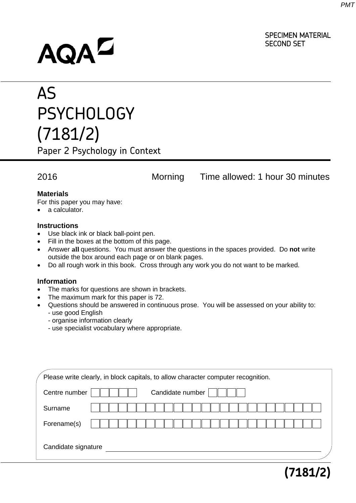SPECIMEN MATERIAL

**(7181/2)**

SECOND SET

# AQAD

## AS PSYCHOLOGY (7181/2)

Paper 2 Psychology in Context

### 2016 Morning Time allowed: 1 hour 30 minutes

#### **Materials**

For this paper you may have:

• a calculator.

#### **Instructions**

- Use black ink or black ball-point pen.
- Fill in the boxes at the bottom of this page.
- Answer **all** questions. You must answer the questions in the spaces provided. Do **not** write outside the box around each page or on blank pages.
- Do all rough work in this book. Cross through any work you do not want to be marked.

#### **Information**

- The marks for questions are shown in brackets.
- The maximum mark for this paper is 72.
- Questions should be answered in continuous prose. You will be assessed on your ability to: - use good English
	- organise information clearly
	- use specialist vocabulary where appropriate.

|                     | Please write clearly, in block capitals, to allow character computer recognition. |
|---------------------|-----------------------------------------------------------------------------------|
| Centre number       | Candidate number                                                                  |
| Surname             |                                                                                   |
| Forename(s)         |                                                                                   |
| Candidate signature |                                                                                   |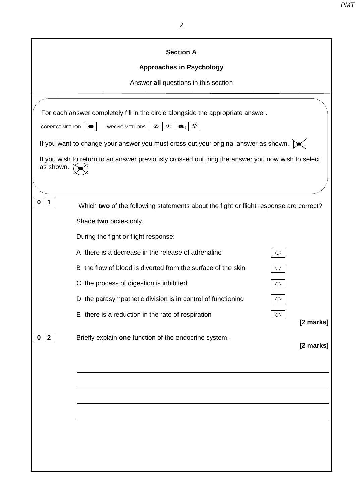|                             | <b>Section A</b>                                                                                                                                                                                                                                                                                                                                       |                      |
|-----------------------------|--------------------------------------------------------------------------------------------------------------------------------------------------------------------------------------------------------------------------------------------------------------------------------------------------------------------------------------------------------|----------------------|
|                             | <b>Approaches in Psychology</b>                                                                                                                                                                                                                                                                                                                        |                      |
|                             | Answer all questions in this section                                                                                                                                                                                                                                                                                                                   |                      |
| CORRECT METHOD<br>as shown. | For each answer completely fill in the circle alongside the appropriate answer.<br><b>WRONG METHODS</b><br>$\circledcirc$<br>$\infty$<br>$\Rightarrow$<br>If you want to change your answer you must cross out your original answer as shown. [X]<br>If you wish to return to an answer previously crossed out, ring the answer you now wish to select |                      |
|                             |                                                                                                                                                                                                                                                                                                                                                        |                      |
| $\mathbf 1$<br>0            | Which two of the following statements about the fight or flight response are correct?<br>Shade two boxes only.                                                                                                                                                                                                                                         |                      |
|                             | During the fight or flight response:                                                                                                                                                                                                                                                                                                                   |                      |
|                             | A there is a decrease in the release of adrenaline                                                                                                                                                                                                                                                                                                     |                      |
|                             | B the flow of blood is diverted from the surface of the skin                                                                                                                                                                                                                                                                                           | $\heartsuit$         |
|                             | C the process of digestion is inhibited                                                                                                                                                                                                                                                                                                                | $\circ$              |
|                             |                                                                                                                                                                                                                                                                                                                                                        | $\circ$<br>$\circ$   |
|                             | D the parasympathetic division is in control of functioning                                                                                                                                                                                                                                                                                            |                      |
|                             | E there is a reduction in the rate of respiration                                                                                                                                                                                                                                                                                                      | $\circ$<br>[2 marks] |
| $\mathbf{2}$<br>0           | Briefly explain one function of the endocrine system.                                                                                                                                                                                                                                                                                                  | [2 marks]            |
|                             |                                                                                                                                                                                                                                                                                                                                                        |                      |
|                             |                                                                                                                                                                                                                                                                                                                                                        |                      |
|                             |                                                                                                                                                                                                                                                                                                                                                        |                      |
|                             |                                                                                                                                                                                                                                                                                                                                                        |                      |
|                             |                                                                                                                                                                                                                                                                                                                                                        |                      |
|                             |                                                                                                                                                                                                                                                                                                                                                        |                      |
|                             |                                                                                                                                                                                                                                                                                                                                                        |                      |
|                             |                                                                                                                                                                                                                                                                                                                                                        |                      |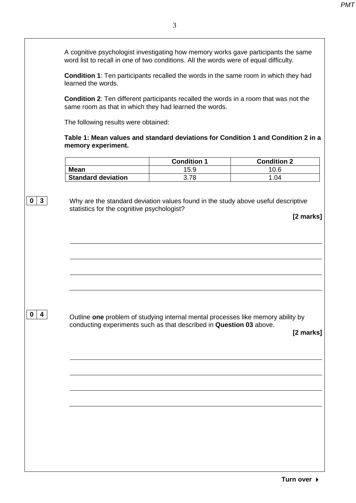| A cognitive psychologist investigating how memory works gave participants the same    |
|---------------------------------------------------------------------------------------|
| word list to recall in one of two conditions. All the words were of equal difficulty. |

**Condition 1**: Ten participants recalled the words in the same room in which they had learned the words.

**Condition 2**: Ten different participants recalled the words in a room that was not the same room as that in which they had learned the words.

The following results were obtained:

**0 3**

**Table 1: Mean values and standard deviations for Condition 1 and Condition 2 in a memory experiment.**

|                           | <b>Condition 1</b> | <b>Condition 2</b> |
|---------------------------|--------------------|--------------------|
| <b>Mean</b>               | 15.9               | 10.6               |
| <b>Standard deviation</b> | 3.78               | 1.04               |

Why are the standard deviation values found in the study above useful descriptive statistics for the cognitive psychologist?

|                                        |                                                                                  | [2 marks] |
|----------------------------------------|----------------------------------------------------------------------------------|-----------|
|                                        |                                                                                  |           |
|                                        |                                                                                  |           |
|                                        |                                                                                  |           |
|                                        |                                                                                  |           |
| $\mathbf 0$<br>$\overline{\mathbf{4}}$ | Outline one problem of studying internal mental processes like memory ability by |           |
|                                        | conducting experiments such as that described in Question 03 above.              | [2 marks] |
|                                        |                                                                                  |           |
|                                        |                                                                                  |           |
|                                        |                                                                                  |           |
|                                        |                                                                                  |           |
|                                        |                                                                                  |           |
|                                        |                                                                                  |           |
|                                        |                                                                                  |           |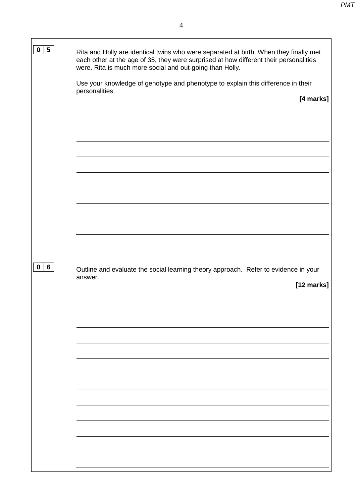| $5\phantom{.0}$<br>$\mathbf 0$ | Rita and Holly are identical twins who were separated at birth. When they finally met<br>each other at the age of 35, they were surprised at how different their personalities<br>were. Rita is much more social and out-going than Holly. |
|--------------------------------|--------------------------------------------------------------------------------------------------------------------------------------------------------------------------------------------------------------------------------------------|
|                                | Use your knowledge of genotype and phenotype to explain this difference in their                                                                                                                                                           |
|                                | personalities.<br>[4 marks]                                                                                                                                                                                                                |
|                                |                                                                                                                                                                                                                                            |
|                                |                                                                                                                                                                                                                                            |
|                                |                                                                                                                                                                                                                                            |
|                                |                                                                                                                                                                                                                                            |
|                                |                                                                                                                                                                                                                                            |
|                                |                                                                                                                                                                                                                                            |
|                                |                                                                                                                                                                                                                                            |
|                                |                                                                                                                                                                                                                                            |
|                                |                                                                                                                                                                                                                                            |
| $6\phantom{1}$<br>$\mathbf 0$  | Outline and evaluate the social learning theory approach. Refer to evidence in your                                                                                                                                                        |
|                                | answer.<br>[12 marks]                                                                                                                                                                                                                      |
|                                |                                                                                                                                                                                                                                            |
|                                |                                                                                                                                                                                                                                            |
|                                |                                                                                                                                                                                                                                            |
|                                |                                                                                                                                                                                                                                            |
|                                |                                                                                                                                                                                                                                            |
|                                |                                                                                                                                                                                                                                            |
|                                |                                                                                                                                                                                                                                            |
|                                |                                                                                                                                                                                                                                            |
|                                |                                                                                                                                                                                                                                            |
|                                |                                                                                                                                                                                                                                            |
|                                |                                                                                                                                                                                                                                            |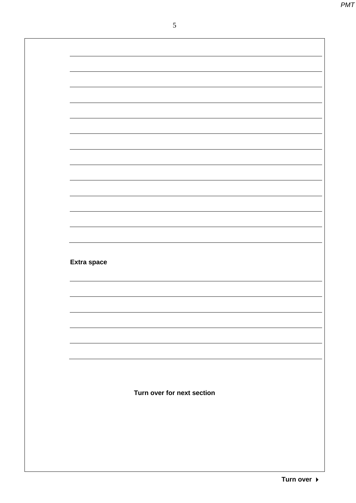**Extra space** 

**Turn over for next section**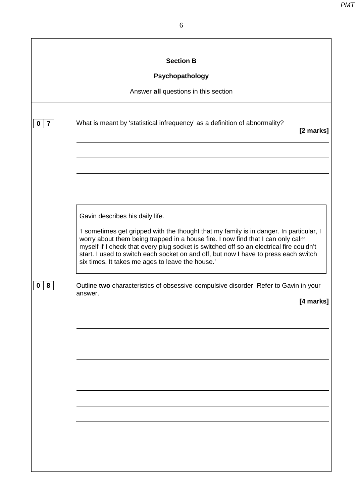|                               | <b>Section B</b>                                                                                                                                                                                                                                                                                                                                                                                                                                    |
|-------------------------------|-----------------------------------------------------------------------------------------------------------------------------------------------------------------------------------------------------------------------------------------------------------------------------------------------------------------------------------------------------------------------------------------------------------------------------------------------------|
|                               | Psychopathology                                                                                                                                                                                                                                                                                                                                                                                                                                     |
|                               | Answer all questions in this section                                                                                                                                                                                                                                                                                                                                                                                                                |
| $\overline{7}$<br>$\mathbf 0$ | What is meant by 'statistical infrequency' as a definition of abnormality?<br>[2 marks]                                                                                                                                                                                                                                                                                                                                                             |
|                               |                                                                                                                                                                                                                                                                                                                                                                                                                                                     |
|                               | Gavin describes his daily life.<br>'I sometimes get gripped with the thought that my family is in danger. In particular, I<br>worry about them being trapped in a house fire. I now find that I can only calm<br>myself if I check that every plug socket is switched off so an electrical fire couldn't<br>start. I used to switch each socket on and off, but now I have to press each switch<br>six times. It takes me ages to leave the house.' |
| 8<br>0                        | Outline two characteristics of obsessive-compulsive disorder. Refer to Gavin in your<br>answer.<br>[4 marks]                                                                                                                                                                                                                                                                                                                                        |
|                               |                                                                                                                                                                                                                                                                                                                                                                                                                                                     |
|                               |                                                                                                                                                                                                                                                                                                                                                                                                                                                     |
|                               |                                                                                                                                                                                                                                                                                                                                                                                                                                                     |
|                               |                                                                                                                                                                                                                                                                                                                                                                                                                                                     |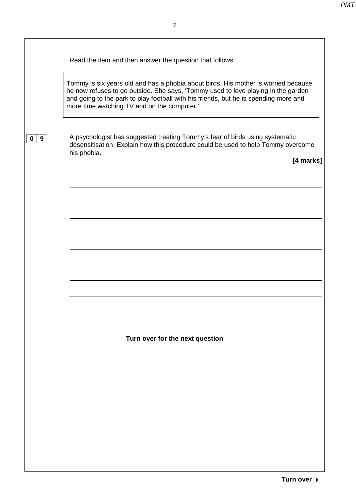| Read the item and then answer the question that follows. |  |
|----------------------------------------------------------|--|
|                                                          |  |

Tommy is six years old and has a phobia about birds. His mother is worried because he now refuses to go outside. She says, 'Tommy used to love playing in the garden and going to the park to play football with his friends, but he is spending more and more time watching TV and on the computer.'

**0 9**

A psychologist has suggested treating Tommy's fear of birds using systematic desensitisation. Explain how this procedure could be used to help Tommy overcome his phobia.

**[4 marks]**

**Turn over for the next question**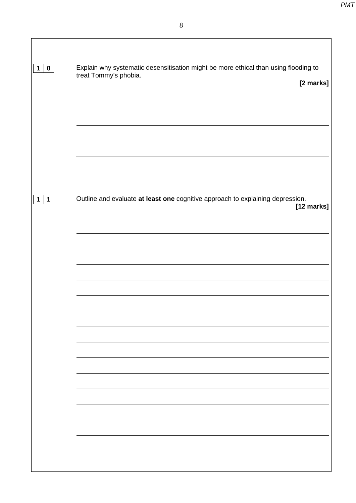| 1 0                        | Explain why systematic desensitisation might be more ethical than using flooding to<br>treat Tommy's phobia.<br>[2 marks] |
|----------------------------|---------------------------------------------------------------------------------------------------------------------------|
|                            |                                                                                                                           |
| $\mathbf 1$<br>$\mathbf 1$ | Outline and evaluate at least one cognitive approach to explaining depression.<br>[12 marks]                              |
|                            |                                                                                                                           |
|                            |                                                                                                                           |
|                            |                                                                                                                           |
|                            |                                                                                                                           |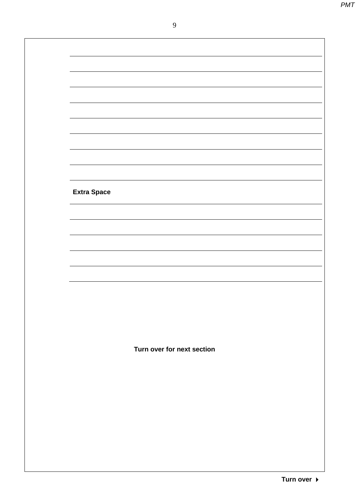9

| <b>Extra Space</b> |                            |  |
|--------------------|----------------------------|--|
|                    |                            |  |
|                    |                            |  |
|                    |                            |  |
|                    |                            |  |
|                    |                            |  |
|                    |                            |  |
|                    | Turn over for next section |  |
|                    |                            |  |
|                    |                            |  |
|                    |                            |  |
|                    |                            |  |
|                    |                            |  |
|                    |                            |  |
|                    |                            |  |
|                    |                            |  |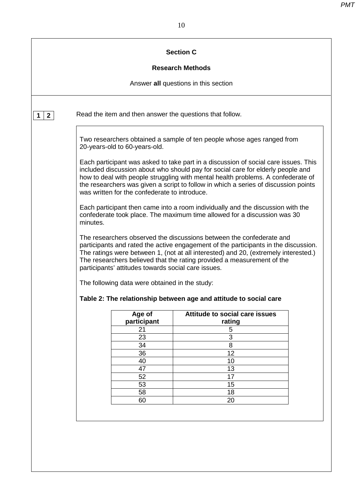|              |                                                          | <b>Section C</b>                                                                                                                                                                                                                                                                                                                                  |
|--------------|----------------------------------------------------------|---------------------------------------------------------------------------------------------------------------------------------------------------------------------------------------------------------------------------------------------------------------------------------------------------------------------------------------------------|
|              |                                                          | <b>Research Methods</b>                                                                                                                                                                                                                                                                                                                           |
|              |                                                          | Answer all questions in this section                                                                                                                                                                                                                                                                                                              |
| $\mathbf{2}$ | Read the item and then answer the questions that follow. |                                                                                                                                                                                                                                                                                                                                                   |
|              | 20-years-old to 60-years-old.                            | Two researchers obtained a sample of ten people whose ages ranged from                                                                                                                                                                                                                                                                            |
|              | was written for the confederate to introduce.            | Each participant was asked to take part in a discussion of social care issues. This<br>included discussion about who should pay for social care for elderly people and<br>how to deal with people struggling with mental health problems. A confederate of<br>the researchers was given a script to follow in which a series of discussion points |
|              | minutes.                                                 | Each participant then came into a room individually and the discussion with the<br>confederate took place. The maximum time allowed for a discussion was 30                                                                                                                                                                                       |
|              |                                                          |                                                                                                                                                                                                                                                                                                                                                   |
|              | participants' attitudes towards social care issues.      | The researchers observed the discussions between the confederate and<br>participants and rated the active engagement of the participants in the discussion.<br>The ratings were between 1, (not at all interested) and 20, (extremely interested.)<br>The researchers believed that the rating provided a measurement of the                      |
|              | The following data were obtained in the study:           |                                                                                                                                                                                                                                                                                                                                                   |
|              |                                                          | Table 2: The relationship between age and attitude to social care                                                                                                                                                                                                                                                                                 |
|              | Age of                                                   | Attitude to social care issues                                                                                                                                                                                                                                                                                                                    |
|              | participant                                              | rating                                                                                                                                                                                                                                                                                                                                            |
|              | 21                                                       | 5                                                                                                                                                                                                                                                                                                                                                 |
|              | 23                                                       | 3                                                                                                                                                                                                                                                                                                                                                 |
|              | 34                                                       | 8                                                                                                                                                                                                                                                                                                                                                 |
|              | 36                                                       | 12                                                                                                                                                                                                                                                                                                                                                |
|              | 40                                                       | 10                                                                                                                                                                                                                                                                                                                                                |
|              | 47                                                       | 13                                                                                                                                                                                                                                                                                                                                                |
|              | 52                                                       | 17                                                                                                                                                                                                                                                                                                                                                |
|              | 53                                                       | 15                                                                                                                                                                                                                                                                                                                                                |
|              | 58<br>60                                                 | 18<br>20                                                                                                                                                                                                                                                                                                                                          |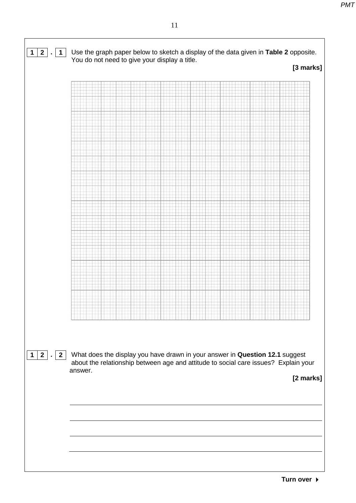|  | You do not need to give your display a title. |  | [3 marks] |
|--|-----------------------------------------------|--|-----------|
|  |                                               |  |           |
|  |                                               |  |           |
|  |                                               |  |           |
|  |                                               |  |           |
|  |                                               |  |           |
|  |                                               |  |           |
|  |                                               |  |           |
|  |                                               |  |           |
|  |                                               |  |           |
|  |                                               |  |           |
|  |                                               |  |           |
|  |                                               |  |           |
|  |                                               |  |           |
|  |                                               |  |           |
|  |                                               |  |           |
|  |                                               |  |           |
|  |                                               |  |           |
|  |                                               |  |           |
|  |                                               |  |           |
|  |                                               |  |           |
|  |                                               |  |           |
|  |                                               |  |           |
|  |                                               |  |           |
|  |                                               |  |           |
|  |                                               |  |           |
|  |                                               |  |           |
|  |                                               |  |           |
|  |                                               |  |           |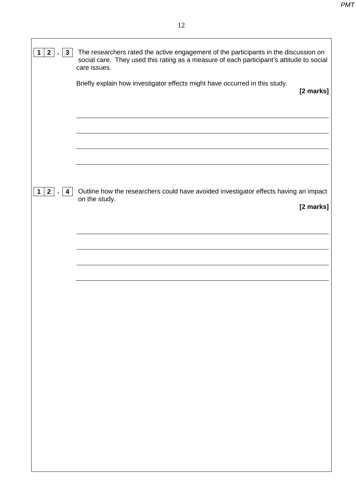| $2$ .<br>$\mathbf{3}$<br>$\mathbf{1}$ | The researchers rated the active engagement of the participants in the discussion on<br>social care. They used this rating as a measure of each participant's attitude to social<br>care issues. |
|---------------------------------------|--------------------------------------------------------------------------------------------------------------------------------------------------------------------------------------------------|
|                                       | Briefly explain how investigator effects might have occurred in this study.<br>[2 marks]                                                                                                         |
|                                       |                                                                                                                                                                                                  |
|                                       |                                                                                                                                                                                                  |
| $\mathbf{2}$<br>1<br>4                | Outline how the researchers could have avoided investigator effects having an impact<br>on the study.<br>[2 marks]                                                                               |
|                                       |                                                                                                                                                                                                  |
|                                       |                                                                                                                                                                                                  |
|                                       |                                                                                                                                                                                                  |
|                                       |                                                                                                                                                                                                  |
|                                       |                                                                                                                                                                                                  |
|                                       |                                                                                                                                                                                                  |
|                                       |                                                                                                                                                                                                  |
|                                       |                                                                                                                                                                                                  |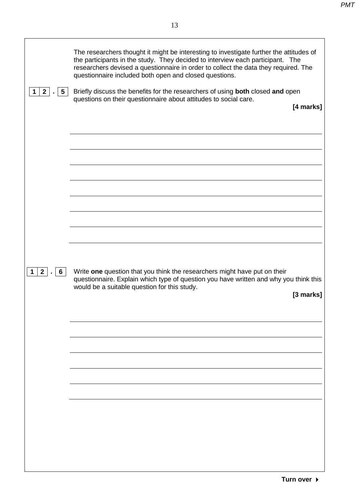| 1 2 . 5                 | The researchers thought it might be interesting to investigate further the attitudes of<br>the participants in the study. They decided to interview each participant. The<br>researchers devised a questionnaire in order to collect the data they required. The<br>questionnaire included both open and closed questions.<br>Briefly discuss the benefits for the researchers of using both closed and open<br>questions on their questionnaire about attitudes to social care.<br>[4 marks] |
|-------------------------|-----------------------------------------------------------------------------------------------------------------------------------------------------------------------------------------------------------------------------------------------------------------------------------------------------------------------------------------------------------------------------------------------------------------------------------------------------------------------------------------------|
|                         |                                                                                                                                                                                                                                                                                                                                                                                                                                                                                               |
|                         |                                                                                                                                                                                                                                                                                                                                                                                                                                                                                               |
|                         |                                                                                                                                                                                                                                                                                                                                                                                                                                                                                               |
|                         |                                                                                                                                                                                                                                                                                                                                                                                                                                                                                               |
| $2$ .<br>6 <sup>1</sup> | Write one question that you think the researchers might have put on their<br>questionnaire. Explain which type of question you have written and why you think this<br>would be a suitable question for this study.<br>[3 marks]                                                                                                                                                                                                                                                               |
|                         |                                                                                                                                                                                                                                                                                                                                                                                                                                                                                               |
|                         |                                                                                                                                                                                                                                                                                                                                                                                                                                                                                               |
|                         |                                                                                                                                                                                                                                                                                                                                                                                                                                                                                               |
|                         |                                                                                                                                                                                                                                                                                                                                                                                                                                                                                               |
|                         |                                                                                                                                                                                                                                                                                                                                                                                                                                                                                               |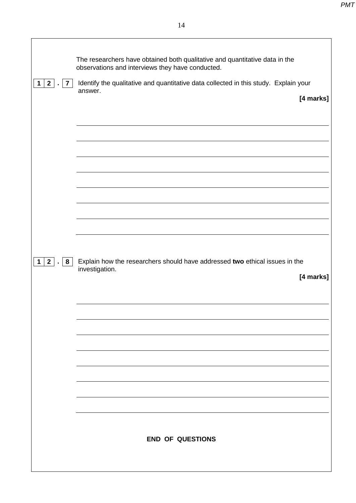|                                                      | The researchers have obtained both qualitative and quantitative data in the                     |
|------------------------------------------------------|-------------------------------------------------------------------------------------------------|
|                                                      | observations and interviews they have conducted.                                                |
| $2 \mid$<br>$\overline{7}$<br>$\mathbf{1}$<br>$\sim$ | Identify the qualitative and quantitative data collected in this study. Explain your<br>answer. |
|                                                      | [4 marks]                                                                                       |
|                                                      |                                                                                                 |
|                                                      |                                                                                                 |
|                                                      |                                                                                                 |
|                                                      |                                                                                                 |
|                                                      |                                                                                                 |
|                                                      |                                                                                                 |
|                                                      |                                                                                                 |
|                                                      |                                                                                                 |
|                                                      |                                                                                                 |
| 1 2 .<br>8                                           | Explain how the researchers should have addressed two ethical issues in the                     |
|                                                      | investigation.<br>[4 marks]                                                                     |
|                                                      |                                                                                                 |
|                                                      |                                                                                                 |
|                                                      |                                                                                                 |
|                                                      |                                                                                                 |
|                                                      |                                                                                                 |
|                                                      |                                                                                                 |
|                                                      |                                                                                                 |
|                                                      |                                                                                                 |
|                                                      |                                                                                                 |
|                                                      | <b>END OF QUESTIONS</b>                                                                         |
|                                                      |                                                                                                 |
|                                                      |                                                                                                 |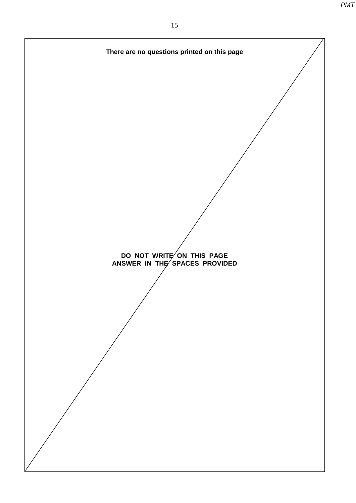